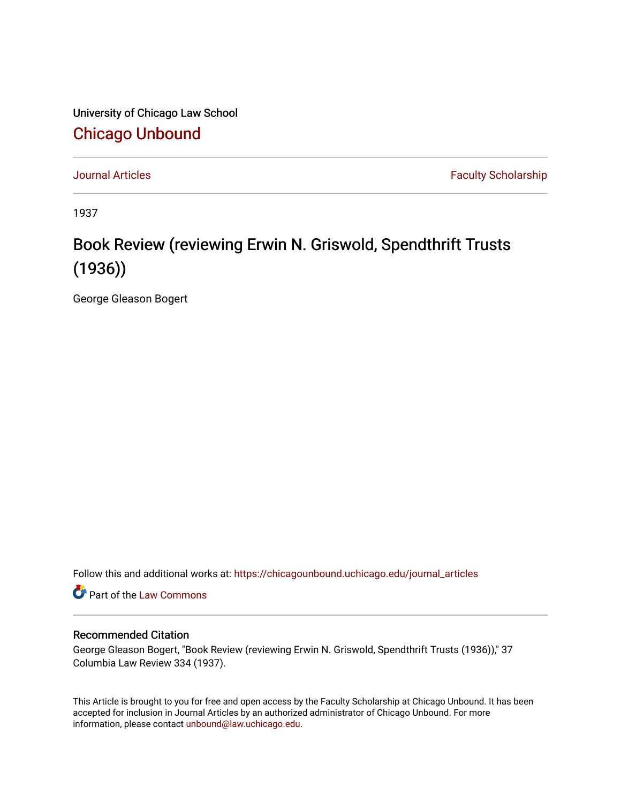University of Chicago Law School [Chicago Unbound](https://chicagounbound.uchicago.edu/)

[Journal Articles](https://chicagounbound.uchicago.edu/journal_articles) **Faculty Scholarship Journal Articles** 

1937

## Book Review (reviewing Erwin N. Griswold, Spendthrift Trusts (1936))

George Gleason Bogert

Follow this and additional works at: [https://chicagounbound.uchicago.edu/journal\\_articles](https://chicagounbound.uchicago.edu/journal_articles?utm_source=chicagounbound.uchicago.edu%2Fjournal_articles%2F2663&utm_medium=PDF&utm_campaign=PDFCoverPages) 

Part of the [Law Commons](http://network.bepress.com/hgg/discipline/578?utm_source=chicagounbound.uchicago.edu%2Fjournal_articles%2F2663&utm_medium=PDF&utm_campaign=PDFCoverPages)

## Recommended Citation

George Gleason Bogert, "Book Review (reviewing Erwin N. Griswold, Spendthrift Trusts (1936))," 37 Columbia Law Review 334 (1937).

This Article is brought to you for free and open access by the Faculty Scholarship at Chicago Unbound. It has been accepted for inclusion in Journal Articles by an authorized administrator of Chicago Unbound. For more information, please contact [unbound@law.uchicago.edu](mailto:unbound@law.uchicago.edu).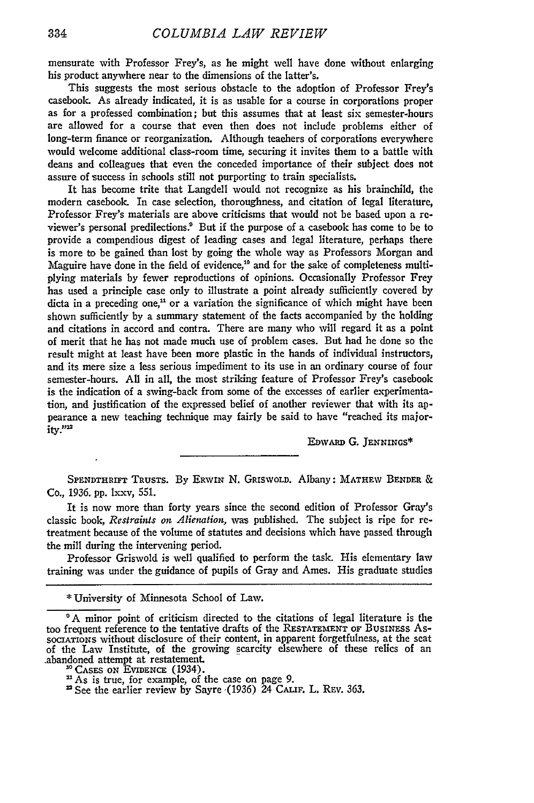mensurate with Professor Frey's, as he might well have done without enlarging his product anywhere near to the dimensions of the latter's.

This suggests the most serious obstacle to the adoption of Professor Frey's casebook. As already indicated, it is as usable for a course in corporations proper as for a professed combination; but this assumes that at least six semester-hours are allowed for a course that even then does not include problems either of long-term finance or reorganization. Although teachers of corporations everywhere would welcome additional class-room time, securing it invites them to a battle with deans and colleagues that even the conceded importance of their subject does not assure of success in schools still not purporting to train specialists.

It has become trite that Langdell would not recognize as his brainchild, the modern casebook. In case selection, thoroughness, and citation of legal literature, Professor Frey's materials are above criticisms that would not be based upon a reviewer's personal predilections.! But if the purpose of a casebook has come to be to provide a compendious digest of leading cases and legal literature, perhaps there is more to be gained than lost by going the whole way as Professors Morgan and Maguire have done in the field of evidence,<sup>10</sup> and for the sake of completeness multiplying materials by fewer reproductions of opinions. Occasionally Professor Frey has used a principle case only to illustrate a point already sufficiently covered by dicta in a preceding one,<sup> $n$ </sup> or a variation the significance of which might have been shown sufficiently by a summary statement of the facts accompanied by the holding and citations in accord and contra. There are many who will regard it as a point of merit that he has not made much use of problem cases. But had he done so the result might at least have been more plastic in the hands of individual instructors, and its mere size a less serious impediment to its use in an ordinary course of four semester-hours. All in all, the most striking feature of Professor Frey's casebook is the indication of a swing-back from some of the excesses of earlier experimentation, and justification of the expressed belief of another reviewer that with its appearance a new teaching technique may fairly be said to have "reached its major $ity.$  $"''$ 

**EDwARD G. JENNINGS\***

**SPENDTHRIFT** TRUSTS. By ERWIN N. GRIswoLD. Albany: MATHEW BENDER & Co., 1936. pp. lxxv, **551.**

It is now more than forty years since the second edition of Professor Gray's classic book, *Restraints on Alienation,* was published. The subject is ripe for retreatment because of the volume of statutes and decisions which have passed through the mill during the intervening period.

Professor Griswold is well qualified to perform the task. His elementary law training was under the guidance of pupils of Gray and Ames. His graduate studies

**<sup>\*</sup>** University of Minnesota School of Law.

**<sup>&#</sup>x27;A** minor point of criticism directed to the citations of legal literature is the too frequent reference to the tentative drafts of the **RESTATEMENT OF BUSINESS** As-**SOCIATIONS** without disclosure of their content, in apparent forgetfulness, at the seat of the Law Institute, of the growing scarcity elsewhere of these relics of an .abandoned attempt at restatement.

<sup>&</sup>lt;sup>10</sup> CASES ON EVIDENCE (1934).<br><sup>11</sup> As is true, for example, of the case on page 9.

<sup>&</sup>quot; See the earlier review by Sayre .(1936) 24 CAmF. L. **REV.** 363.